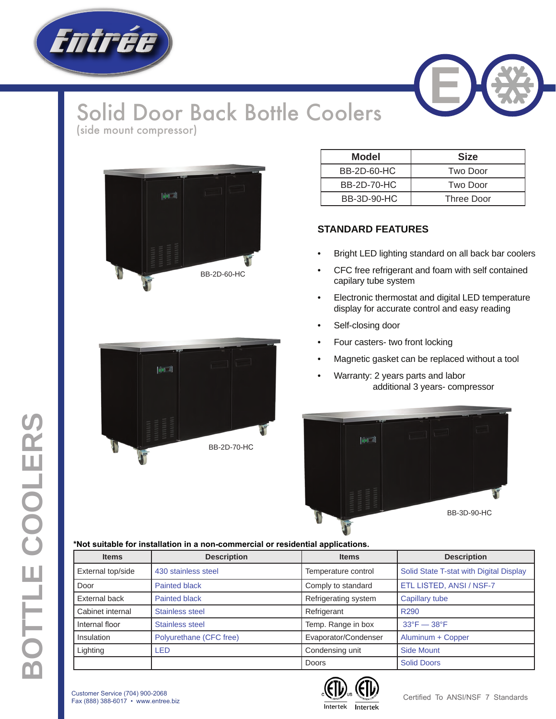

## Solid Door Back Bottle Coolers (side mount compressor)



| Model              | <b>Size</b> |  |  |  |  |
|--------------------|-------------|--|--|--|--|
| <b>BB-2D-60-HC</b> | Two Door    |  |  |  |  |
| <b>BB-2D-70-HC</b> | Two Door    |  |  |  |  |
| BB-3D-90-HC        | Three Door  |  |  |  |  |

## **STANDARD FEATURES**

- Bright LED lighting standard on all back bar coolers
- CFC free refrigerant and foam with self contained capilary tube system
- Electronic thermostat and digital LED temperature display for accurate control and easy reading
- Self-closing door
- Four casters- two front locking
- Magnetic gasket can be replaced without a tool
- Warranty: 2 years parts and labor additional 3 years- compressor



## **\*Not suitable for installation in a non-commercial or residential applications.**

| <b>Items</b>      | <b>Description</b>      | <b>Items</b>         | <b>Description</b>                      |  |  |
|-------------------|-------------------------|----------------------|-----------------------------------------|--|--|
| External top/side | 430 stainless steel     | Temperature control  | Solid State T-stat with Digital Display |  |  |
| Door              | <b>Painted black</b>    | Comply to standard   | ETL LISTED, ANSI / NSF-7                |  |  |
| External back     | <b>Painted black</b>    | Refrigerating system | Capillary tube                          |  |  |
| Cabinet internal  | <b>Stainless steel</b>  | Refrigerant          | R <sub>290</sub>                        |  |  |
| Internal floor    | Stainless steel         | Temp. Range in box   | $33^{\circ}F - 38^{\circ}F$             |  |  |
| Insulation        | Polyurethane (CFC free) | Evaporator/Condenser | Aluminum + Copper                       |  |  |
| Lighting          | <b>LED</b>              | Condensing unit      | <b>Side Mount</b>                       |  |  |
|                   |                         | Doors                | <b>Solid Doors</b>                      |  |  |



Customer Service (704) 900-2068 Fax (888) 388-6017 • www.entree.biz